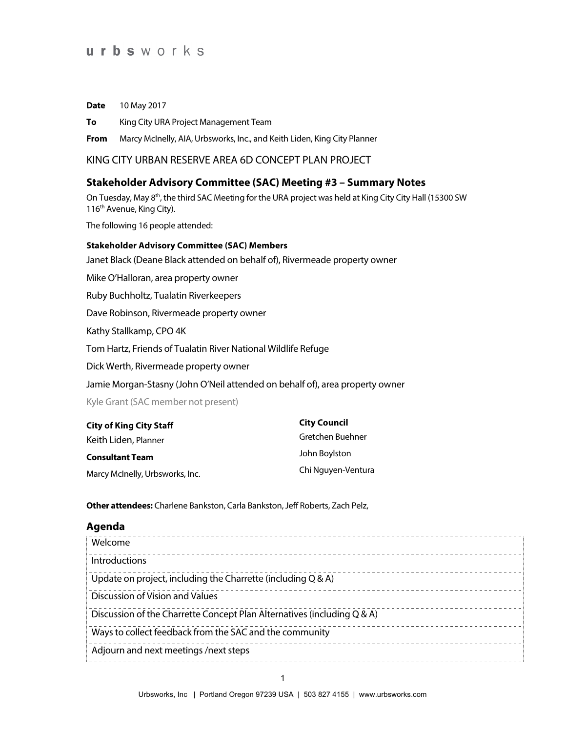# urbsworks

**Date** 10 May 2017

**To** King City URA Project Management Team

**From** Marcy McInelly, AIA, Urbsworks, Inc., and Keith Liden, King City Planner

KING CITY URBAN RESERVE AREA 6D CONCEPT PLAN PROJECT

## **Stakeholder Advisory Committee (SAC) Meeting #3 – Summary Notes**

On Tuesday, May 8<sup>th</sup>, the third SAC Meeting for the URA project was held at King City City Hall (15300 SW 116<sup>th</sup> Avenue, King City).

The following 16 people attended:

### **Stakeholder Advisory Committee (SAC) Members**

Janet Black (Deane Black attended on behalf of), Rivermeade property owner

Mike O'Halloran, area property owner

Ruby Buchholtz, Tualatin Riverkeepers

Dave Robinson, Rivermeade property owner

Kathy Stallkamp, CPO 4K

Tom Hartz, Friends of Tualatin River National Wildlife Refuge

Dick Werth, Rivermeade property owner

Jamie Morgan-Stasny (John O'Neil attended on behalf of), area property owner

Kyle Grant (SAC member not present)

| <b>City of King City Staff</b>  | <b>City Council</b> |
|---------------------------------|---------------------|
| Keith Liden, Planner            | Gretchen Buehner    |
| <b>Consultant Team</b>          | John Boylston       |
| Marcy McInelly, Urbsworks, Inc. | Chi Nguyen-Ventura  |

**Other attendees:** Charlene Bankston, Carla Bankston, Jeff Roberts, Zach Pelz,

#### **Agenda**

| Welcome                                                                 |  |
|-------------------------------------------------------------------------|--|
| Introductions                                                           |  |
| Update on project, including the Charrette (including $Q & A$ )         |  |
| Discussion of Vision and Values                                         |  |
| Discussion of the Charrette Concept Plan Alternatives (including Q & A) |  |
| Ways to collect feedback from the SAC and the community                 |  |
| Adjourn and next meetings /next steps                                   |  |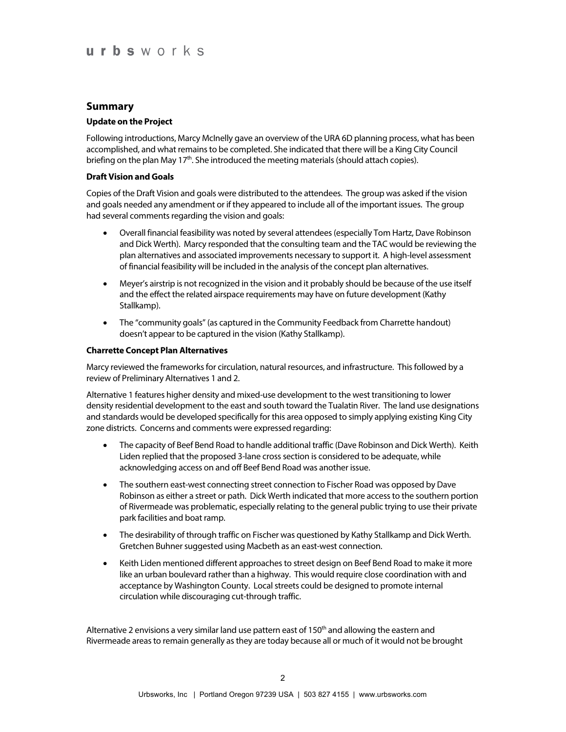## **Summary**

#### **Update on the Project**

Following introductions, Marcy McInelly gave an overview of the URA 6D planning process, what has been accomplished, and what remains to be completed. She indicated that there will be a King City Council briefing on the plan May  $17<sup>th</sup>$ . She introduced the meeting materials (should attach copies).

#### **Draft Vision and Goals**

Copies of the Draft Vision and goals were distributed to the attendees. The group was asked if the vision and goals needed any amendment or if they appeared to include all of the important issues. The group had several comments regarding the vision and goals:

- Overall financial feasibility was noted by several attendees (especially Tom Hartz, Dave Robinson and Dick Werth). Marcy responded that the consulting team and the TAC would be reviewing the plan alternatives and associated improvements necessary to support it. A high-level assessment of financial feasibility will be included in the analysis of the concept plan alternatives.
- Meyer's airstrip is not recognized in the vision and it probably should be because of the use itself and the effect the related airspace requirements may have on future development (Kathy Stallkamp).
- The "community goals" (as captured in the Community Feedback from Charrette handout) doesn't appear to be captured in the vision (Kathy Stallkamp).

#### **Charrette Concept Plan Alternatives**

Marcy reviewed the frameworks for circulation, natural resources, and infrastructure. This followed by a review of Preliminary Alternatives 1 and 2.

Alternative 1 features higher density and mixed-use development to the west transitioning to lower density residential development to the east and south toward the Tualatin River. The land use designations and standards would be developed specifically for this area opposed to simply applying existing King City zone districts. Concerns and comments were expressed regarding:

- The capacity of Beef Bend Road to handle additional traffic (Dave Robinson and Dick Werth). Keith Liden replied that the proposed 3-lane cross section is considered to be adequate, while acknowledging access on and off Beef Bend Road was another issue.
- The southern east-west connecting street connection to Fischer Road was opposed by Dave Robinson as either a street or path. Dick Werth indicated that more access to the southern portion of Rivermeade was problematic, especially relating to the general public trying to use their private park facilities and boat ramp.
- The desirability of through traffic on Fischer was questioned by Kathy Stallkamp and Dick Werth. Gretchen Buhner suggested using Macbeth as an east-west connection.
- Keith Liden mentioned different approaches to street design on Beef Bend Road to make it more like an urban boulevard rather than a highway. This would require close coordination with and acceptance by Washington County. Local streets could be designed to promote internal circulation while discouraging cut-through traffic.

Alternative 2 envisions a very similar land use pattern east of 150<sup>th</sup> and allowing the eastern and Rivermeade areas to remain generally as they are today because all or much of it would not be brought